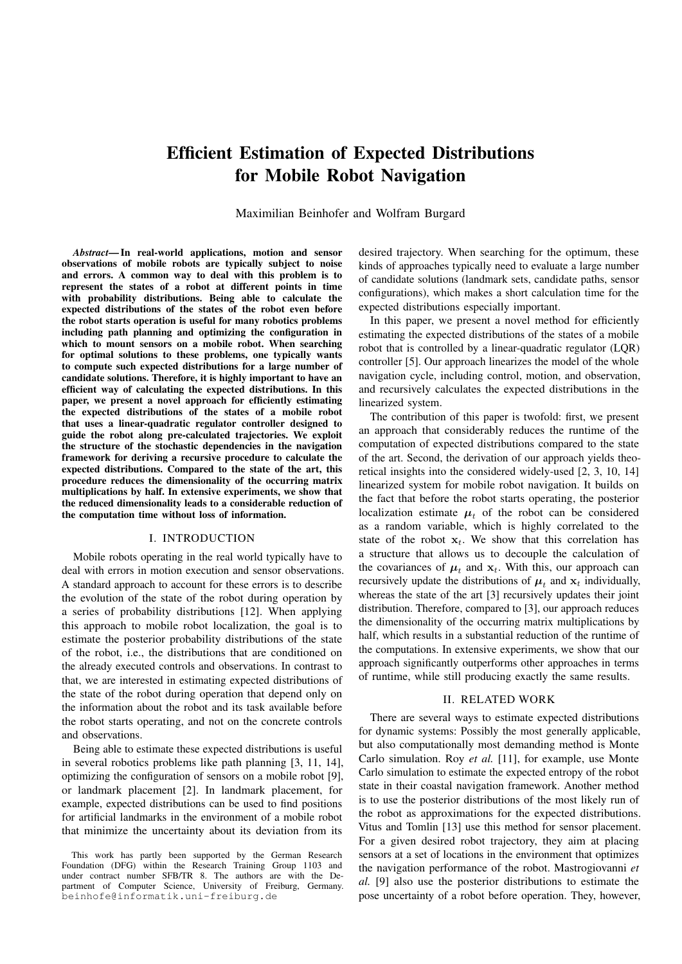# Efficient Estimation of Expected Distributions for Mobile Robot Navigation

Maximilian Beinhofer and Wolfram Burgard

*Abstract*— In real-world applications, motion and sensor observations of mobile robots are typically subject to noise and errors. A common way to deal with this problem is to represent the states of a robot at different points in time with probability distributions. Being able to calculate the expected distributions of the states of the robot even before the robot starts operation is useful for many robotics problems including path planning and optimizing the configuration in which to mount sensors on a mobile robot. When searching for optimal solutions to these problems, one typically wants to compute such expected distributions for a large number of candidate solutions. Therefore, it is highly important to have an efficient way of calculating the expected distributions. In this paper, we present a novel approach for efficiently estimating the expected distributions of the states of a mobile robot that uses a linear-quadratic regulator controller designed to guide the robot along pre-calculated trajectories. We exploit the structure of the stochastic dependencies in the navigation framework for deriving a recursive procedure to calculate the expected distributions. Compared to the state of the art, this procedure reduces the dimensionality of the occurring matrix multiplications by half. In extensive experiments, we show that the reduced dimensionality leads to a considerable reduction of the computation time without loss of information.

# I. INTRODUCTION

Mobile robots operating in the real world typically have to deal with errors in motion execution and sensor observations. A standard approach to account for these errors is to describe the evolution of the state of the robot during operation by a series of probability distributions [12]. When applying this approach to mobile robot localization, the goal is to estimate the posterior probability distributions of the state of the robot, i.e., the distributions that are conditioned on the already executed controls and observations. In contrast to that, we are interested in estimating expected distributions of the state of the robot during operation that depend only on the information about the robot and its task available before the robot starts operating, and not on the concrete controls and observations.

Being able to estimate these expected distributions is useful in several robotics problems like path planning [3, 11, 14], optimizing the configuration of sensors on a mobile robot [9], or landmark placement [2]. In landmark placement, for example, expected distributions can be used to find positions for artificial landmarks in the environment of a mobile robot that minimize the uncertainty about its deviation from its

This work has partly been supported by the German Research Foundation (DFG) within the Research Training Group 1103 and under contract number SFB/TR 8. The authors are with the Department of Computer Science, University of Freiburg, Germany. beinhofe@informatik.uni-freiburg.de

desired trajectory. When searching for the optimum, these kinds of approaches typically need to evaluate a large number of candidate solutions (landmark sets, candidate paths, sensor configurations), which makes a short calculation time for the expected distributions especially important.

In this paper, we present a novel method for efficiently estimating the expected distributions of the states of a mobile robot that is controlled by a linear-quadratic regulator (LQR) controller [5]. Our approach linearizes the model of the whole navigation cycle, including control, motion, and observation, and recursively calculates the expected distributions in the linearized system.

The contribution of this paper is twofold: first, we present an approach that considerably reduces the runtime of the computation of expected distributions compared to the state of the art. Second, the derivation of our approach yields theoretical insights into the considered widely-used [2, 3, 10, 14] linearized system for mobile robot navigation. It builds on the fact that before the robot starts operating, the posterior localization estimate  $\mu_t$  of the robot can be considered as a random variable, which is highly correlated to the state of the robot  $x_t$ . We show that this correlation has a structure that allows us to decouple the calculation of the covariances of  $\mu_t$  and  $\mathbf{x}_t$ . With this, our approach can recursively update the distributions of  $\mu_t$  and  $\mathbf{x}_t$  individually, whereas the state of the art [3] recursively updates their joint distribution. Therefore, compared to [3], our approach reduces the dimensionality of the occurring matrix multiplications by half, which results in a substantial reduction of the runtime of the computations. In extensive experiments, we show that our approach significantly outperforms other approaches in terms of runtime, while still producing exactly the same results.

## II. RELATED WORK

There are several ways to estimate expected distributions for dynamic systems: Possibly the most generally applicable, but also computationally most demanding method is Monte Carlo simulation. Roy *et al.* [11], for example, use Monte Carlo simulation to estimate the expected entropy of the robot state in their coastal navigation framework. Another method is to use the posterior distributions of the most likely run of the robot as approximations for the expected distributions. Vitus and Tomlin [13] use this method for sensor placement. For a given desired robot trajectory, they aim at placing sensors at a set of locations in the environment that optimizes the navigation performance of the robot. Mastrogiovanni *et al.* [9] also use the posterior distributions to estimate the pose uncertainty of a robot before operation. They, however,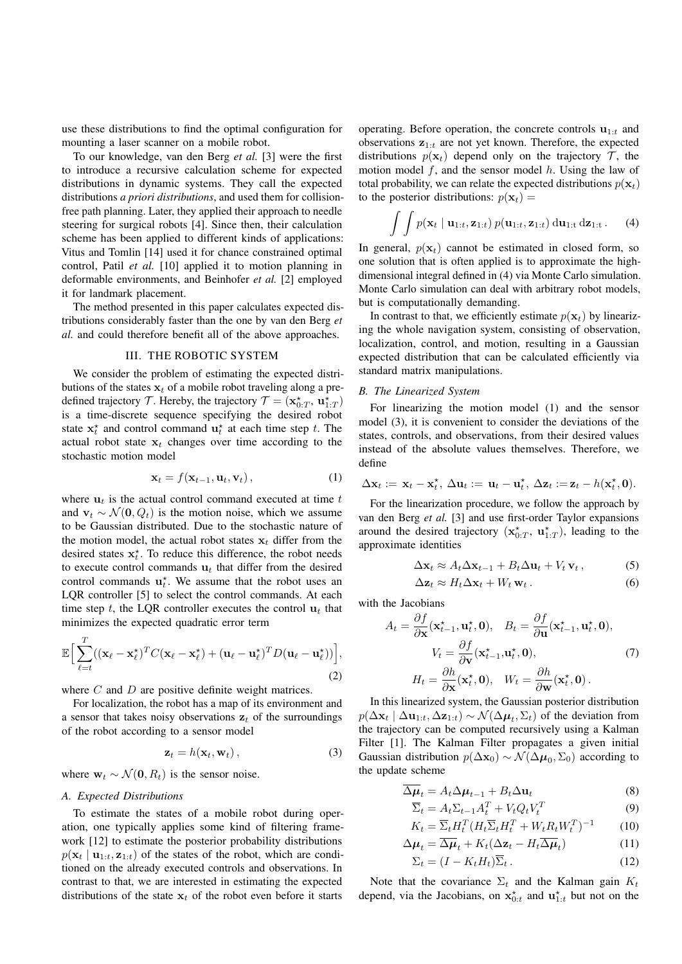use these distributions to find the optimal configuration for mounting a laser scanner on a mobile robot.

To our knowledge, van den Berg *et al.* [3] were the first to introduce a recursive calculation scheme for expected distributions in dynamic systems. They call the expected distributions *a priori distributions*, and used them for collisionfree path planning. Later, they applied their approach to needle steering for surgical robots [4]. Since then, their calculation scheme has been applied to different kinds of applications: Vitus and Tomlin [14] used it for chance constrained optimal control, Patil *et al.* [10] applied it to motion planning in deformable environments, and Beinhofer *et al.* [2] employed it for landmark placement.

The method presented in this paper calculates expected distributions considerably faster than the one by van den Berg *et al.* and could therefore benefit all of the above approaches.

## III. THE ROBOTIC SYSTEM

We consider the problem of estimating the expected distributions of the states  $x_t$  of a mobile robot traveling along a predefined trajectory  $\mathcal{T}$ . Hereby, the trajectory  $\mathcal{T} = (\mathbf{x}_{0:T}^{\star}, \, \mathbf{u}_{1:T}^{\star})$ is a time-discrete sequence specifying the desired robot state  $x_t^*$  and control command  $u_t^*$  at each time step t. The actual robot state  $x_t$  changes over time according to the stochastic motion model

<span id="page-1-1"></span>
$$
\mathbf{x}_t = f(\mathbf{x}_{t-1}, \mathbf{u}_t, \mathbf{v}_t), \tag{1}
$$

where  $\mathbf{u}_t$  is the actual control command executed at time t and  $v_t \sim \mathcal{N}(0, Q_t)$  is the motion noise, which we assume to be Gaussian distributed. Due to the stochastic nature of the motion model, the actual robot states  $x_t$  differ from the desired states  $x_t^*$ . To reduce this difference, the robot needs to execute control commands  $\mathbf{u}_t$  that differ from the desired control commands  $\mathbf{u}_t^*$ . We assume that the robot uses an LQR controller [5] to select the control commands. At each time step t, the LOR controller executes the control  $\mathbf{u}_t$  that minimizes the expected quadratic error term

<span id="page-1-3"></span>
$$
\mathbb{E}\Big[\sum_{\ell=t}^{T}((\mathbf{x}_{\ell}-\mathbf{x}_{\ell}^{\star})^{T}C(\mathbf{x}_{\ell}-\mathbf{x}_{\ell}^{\star})+(\mathbf{u}_{\ell}-\mathbf{u}_{\ell}^{\star})^{T}D(\mathbf{u}_{\ell}-\mathbf{u}_{\ell}^{\star}))\Big],\tag{2}
$$

where  $C$  and  $D$  are positive definite weight matrices.

For localization, the robot has a map of its environment and a sensor that takes noisy observations  $z_t$  of the surroundings of the robot according to a sensor model

<span id="page-1-2"></span>
$$
\mathbf{z}_t = h(\mathbf{x}_t, \mathbf{w}_t), \tag{3}
$$

where  $\mathbf{w}_t \sim \mathcal{N}(\mathbf{0}, R_t)$  is the sensor noise.

# *A. Expected Distributions*

 $\overline{a}$ 

To estimate the states of a mobile robot during operation, one typically applies some kind of filtering framework [12] to estimate the posterior probability distributions  $p(\mathbf{x}_t | \mathbf{u}_{1:t}, \mathbf{z}_{1:t})$  of the states of the robot, which are conditioned on the already executed controls and observations. In contrast to that, we are interested in estimating the expected distributions of the state  $x_t$  of the robot even before it starts

operating. Before operation, the concrete controls  $\mathbf{u}_{1:t}$  and observations  $z_{1:t}$  are not yet known. Therefore, the expected distributions  $p(\mathbf{x}_t)$  depend only on the trajectory  $\mathcal{T}$ , the motion model  $f$ , and the sensor model  $h$ . Using the law of total probability, we can relate the expected distributions  $p(\mathbf{x}_t)$ to the posterior distributions:  $p(\mathbf{x}_t) =$ 

<span id="page-1-0"></span>
$$
\int\int p(\mathbf{x}_t \mid \mathbf{u}_{1:t}, \mathbf{z}_{1:t}) p(\mathbf{u}_{1:t}, \mathbf{z}_{1:t}) \, \mathrm{d}\mathbf{u}_{1:t} \, \mathrm{d}\mathbf{z}_{1:t} \,. \tag{4}
$$

In general,  $p(\mathbf{x}_t)$  cannot be estimated in closed form, so one solution that is often applied is to approximate the highdimensional integral defined in [\(4\)](#page-1-0) via Monte Carlo simulation. Monte Carlo simulation can deal with arbitrary robot models, but is computationally demanding.

In contrast to that, we efficiently estimate  $p(\mathbf{x}_t)$  by linearizing the whole navigation system, consisting of observation, localization, control, and motion, resulting in a Gaussian expected distribution that can be calculated efficiently via standard matrix manipulations.

## <span id="page-1-8"></span>*B. The Linearized System*

For linearizing the motion model [\(1\)](#page-1-1) and the sensor model [\(3\)](#page-1-2), it is convenient to consider the deviations of the states, controls, and observations, from their desired values instead of the absolute values themselves. Therefore, we define

$$
\Delta \mathbf{x}_t := \mathbf{x}_t - \mathbf{x}_t^{\star}, \ \Delta \mathbf{u}_t := \mathbf{u}_t - \mathbf{u}_t^{\star}, \ \Delta \mathbf{z}_t := \mathbf{z}_t - h(\mathbf{x}_t^{\star}, \mathbf{0}).
$$

For the linearization procedure, we follow the approach by van den Berg *et al.* [3] and use first-order Taylor expansions around the desired trajectory  $(\mathbf{x}_{0:T}^{\star}, \mathbf{u}_{1:T}^{\star})$ , leading to the approximate identities

<span id="page-1-9"></span>
$$
\Delta \mathbf{x}_t \approx A_t \Delta \mathbf{x}_{t-1} + B_t \Delta \mathbf{u}_t + V_t \mathbf{v}_t, \tag{5}
$$

<span id="page-1-12"></span><span id="page-1-4"></span>
$$
\Delta \mathbf{z}_t \approx H_t \Delta \mathbf{x}_t + W_t \, \mathbf{w}_t \,. \tag{6}
$$

with the Jacobians

$$
A_t = \frac{\partial f}{\partial \mathbf{x}} (\mathbf{x}_{t-1}^{\star}, \mathbf{u}_t^{\star}, \mathbf{0}), \quad B_t = \frac{\partial f}{\partial \mathbf{u}} (\mathbf{x}_{t-1}^{\star}, \mathbf{u}_t^{\star}, \mathbf{0}),
$$
  

$$
V_t = \frac{\partial f}{\partial \mathbf{v}} (\mathbf{x}_{t-1}^{\star}, \mathbf{u}_t^{\star}, \mathbf{0}), \qquad (7)
$$
  

$$
H_t = \frac{\partial h}{\partial \mathbf{x}} (\mathbf{x}_t^{\star}, \mathbf{0}), \quad W_t = \frac{\partial h}{\partial \mathbf{w}} (\mathbf{x}_t^{\star}, \mathbf{0}).
$$

In this linearized system, the Gaussian posterior distribution  $p(\Delta \mathbf{x}_t | \Delta \mathbf{u}_{1:t}, \Delta \mathbf{z}_{1:t}) \sim \mathcal{N}(\Delta \boldsymbol{\mu}_t, \Sigma_t)$  of the deviation from the trajectory can be computed recursively using a Kalman Filter [1]. The Kalman Filter propagates a given initial Gaussian distribution  $p(\Delta \mathbf{x}_0) \sim \mathcal{N}(\Delta \boldsymbol{\mu}_0, \Sigma_0)$  according to the update scheme

$$
\Delta \mu_t = A_t \Delta \mu_{t-1} + B_t \Delta \mathbf{u}_t \tag{8}
$$

<span id="page-1-11"></span><span id="page-1-10"></span><span id="page-1-6"></span><span id="page-1-5"></span>
$$
\overline{\Sigma}_t = A_t \Sigma_{t-1} A_t^T + V_t Q_t V_t^T
$$
\n(9)

$$
K_t = \overline{\Sigma}_t H_t^T (H_t \overline{\Sigma}_t H_t^T + W_t R_t W_t^T)^{-1}
$$
 (10)

$$
\Delta \mu_t = \overline{\Delta \mu}_t + K_t (\Delta \mathbf{z}_t - H_t \overline{\Delta \mu}_t)
$$
(11)

<span id="page-1-7"></span>
$$
\Sigma_t = (I - K_t H_t) \overline{\Sigma}_t. \tag{12}
$$

Note that the covariance  $\Sigma_t$  and the Kalman gain  $K_t$ depend, via the Jacobians, on  $x_{0:t}^*$  and  $u_{1:t}^*$  but not on the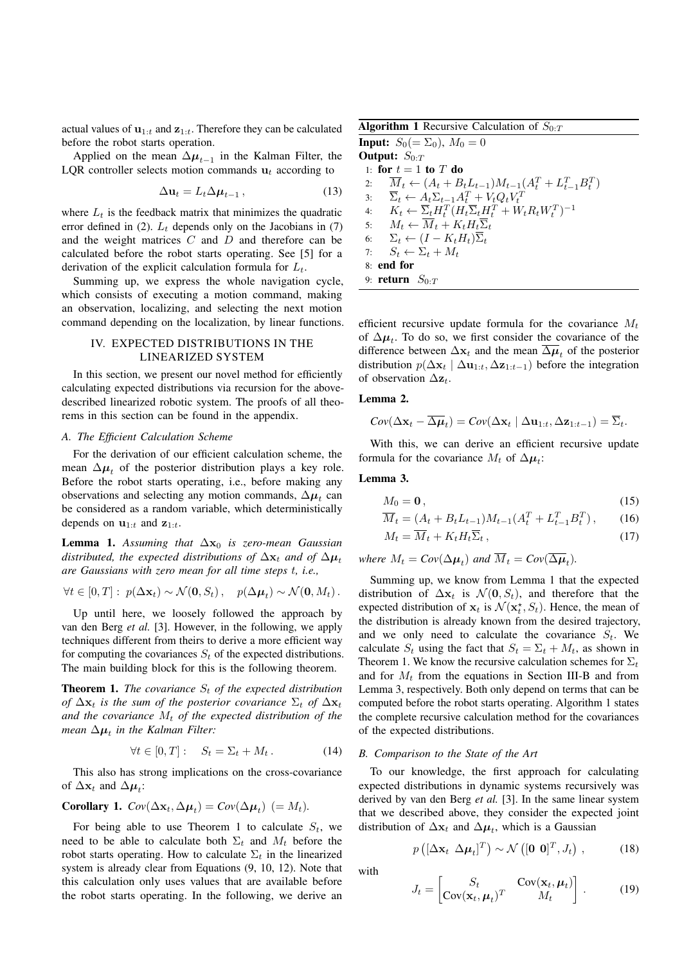actual values of  $\mathbf{u}_{1:t}$  and  $\mathbf{z}_{1:t}$ . Therefore they can be calculated before the robot starts operation.

Applied on the mean  $\Delta \mu_{t-1}$  in the Kalman Filter, the LQR controller selects motion commands  $\mathbf{u}_t$  according to

<span id="page-2-5"></span>
$$
\Delta \mathbf{u}_t = L_t \Delta \boldsymbol{\mu}_{t-1}, \qquad (13)
$$

where  $L_t$  is the feedback matrix that minimizes the quadratic error defined in [\(2\)](#page-1-3).  $L_t$  depends only on the Jacobians in [\(7\)](#page-1-4) and the weight matrices  $C$  and  $D$  and therefore can be calculated before the robot starts operating. See [5] for a derivation of the explicit calculation formula for  $L_t$ .

Summing up, we express the whole navigation cycle, which consists of executing a motion command, making an observation, localizing, and selecting the next motion command depending on the localization, by linear functions.

# IV. EXPECTED DISTRIBUTIONS IN THE LINEARIZED SYSTEM

In this section, we present our novel method for efficiently calculating expected distributions via recursion for the abovedescribed linearized robotic system. The proofs of all theorems in this section can be found in the appendix.

## *A. The Efficient Calculation Scheme*

For the derivation of our efficient calculation scheme, the mean  $\Delta \mu_t$  of the posterior distribution plays a key role. Before the robot starts operating, i.e., before making any observations and selecting any motion commands,  $\Delta \mu_t$  can be considered as a random variable, which deterministically depends on  $\mathbf{u}_{1:t}$  and  $\mathbf{z}_{1:t}$ .

<span id="page-2-1"></span>**Lemma 1.** Assuming that  $\Delta x_0$  is zero-mean Gaussian *distributed, the expected distributions of*  $\Delta x_t$  *and of*  $\Delta \mu_t$ *are Gaussians with zero mean for all time steps* t*, i.e.,*

$$
\forall t \in [0, T]: p(\Delta \mathbf{x}_t) \sim \mathcal{N}(\mathbf{0}, S_t), \quad p(\Delta \boldsymbol{\mu}_t) \sim \mathcal{N}(\mathbf{0}, M_t).
$$

Up until here, we loosely followed the approach by van den Berg *et al.* [3]. However, in the following, we apply techniques different from theirs to derive a more efficient way for computing the covariances  $S_t$  of the expected distributions. The main building block for this is the following theorem.

<span id="page-2-0"></span>**Theorem 1.** *The covariance*  $S_t$  *of the expected distribution of*  $\Delta$ **x**<sub>t</sub> *is the sum of the posterior covariance*  $\Sigma$ <sub>t</sub> *of*  $\Delta$ **x**<sub>t</sub> and the covariance  $M_t$  of the expected distribution of the  $m$ ean  $\Delta \mu_t$  in the Kalman Filter:

$$
\forall t \in [0, T]: \quad S_t = \Sigma_t + M_t. \tag{14}
$$

This also has strong implications on the cross-covariance of  $\Delta \mathbf{x}_t$  and  $\Delta \boldsymbol{\mu}_t$ :

<span id="page-2-6"></span>**Corollary 1.** 
$$
Cov(\Delta \mathbf{x}_t, \Delta \boldsymbol{\mu}_t) = Cov(\Delta \boldsymbol{\mu}_t) (= M_t).
$$

For being able to use Theorem [1](#page-2-0) to calculate  $S_t$ , we need to be able to calculate both  $\Sigma_t$  and  $M_t$  before the robot starts operating. How to calculate  $\Sigma_t$  in the linearized system is already clear from Equations [\(9,](#page-1-5) [10,](#page-1-6) [12\)](#page-1-7). Note that this calculation only uses values that are available before the robot starts operating. In the following, we derive an

<span id="page-2-3"></span>**Algorithm 1** Recursive Calculation of  $S_{0:T}$ 

**Input:**  $S_0 (= \Sigma_0)$ ,  $M_0 = 0$ Output:  $S_{0:T}$ 1: for  $t = 1$  to  $T$  do 2:  $\overline{M}_t \leftarrow (A_t + B_t L_{t-1}) M_{t-1} (A_t^T + L_{t-1}^T B_t^T)$ 3:  $\overline{\Sigma}_t \leftarrow A_t \Sigma_{t-1} A_t^T + V_t Q_t V_t^T$ <br>4:  $K_t \leftarrow \overline{\Sigma}_t H_t^T (H_t \overline{\Sigma}_t H_t^T + W_t R_t W_t^T)^{-1}$ 5:  $M_t \leftarrow \overline{M}_t + K_t H_t \overline{\Sigma}_t$ 6:  $\Sigma_t \leftarrow (I - K_t H_t) \overline{\Sigma}_t$ 7:  $S_t \leftarrow \Sigma_t + M_t$ 8: end for 9: return  $S_{0:T}$ 

efficient recursive update formula for the covariance  $M_t$ of  $\Delta \mu_t$ . To do so, we first consider the covariance of the difference between  $\Delta x_t$  and the mean  $\overline{\Delta \mu}_t$  of the posterior distribution  $p(\Delta x_t | \Delta u_{1:t}, \Delta z_{1:t-1})$  before the integration of observation  $\Delta z_t$ .

# <span id="page-2-7"></span>Lemma 2.

$$
Cov(\Delta \mathbf{x}_t - \overline{\Delta \boldsymbol{\mu}}_t) = Cov(\Delta \mathbf{x}_t \mid \Delta \mathbf{u}_{1:t}, \Delta \mathbf{z}_{1:t-1}) = \overline{\Sigma}_t.
$$

With this, we can derive an efficient recursive update formula for the covariance  $M_t$  of  $\Delta \mu_t$ :

## <span id="page-2-2"></span>Lemma 3.

<span id="page-2-9"></span><span id="page-2-8"></span>
$$
M_0 = \mathbf{0},\tag{15}
$$

$$
\overline{M}_t = (A_t + B_t L_{t-1}) M_{t-1} (A_t^T + L_{t-1}^T B_t^T), \qquad (16)
$$

<span id="page-2-10"></span>
$$
M_t = \overline{M}_t + K_t H_t \overline{\Sigma}_t , \qquad (17)
$$

*where*  $M_t = Cov(\Delta \mu_t)$  and  $M_t = Cov(\Delta \mu_t)$ .

Summing up, we know from Lemma [1](#page-2-1) that the expected distribution of  $\Delta x_t$  is  $\mathcal{N}(0, S_t)$ , and therefore that the expected distribution of  $x_t$  is  $\mathcal{N}(x_t^*, S_t)$ . Hence, the mean of the distribution is already known from the desired trajectory, and we only need to calculate the covariance  $S_t$ . We calculate  $S_t$  using the fact that  $S_t = \Sigma_t + M_t$ , as shown in Theorem [1.](#page-2-0) We know the recursive calculation schemes for  $\Sigma_t$ and for  $M_t$  from the equations in Section [III-B](#page-1-8) and from Lemma [3,](#page-2-2) respectively. Both only depend on terms that can be computed before the robot starts operating. Algorithm [1](#page-2-3) states the complete recursive calculation method for the covariances of the expected distributions.

#### <span id="page-2-4"></span>*B. Comparison to the State of the Art*

To our knowledge, the first approach for calculating expected distributions in dynamic systems recursively was derived by van den Berg *et al.* [3]. In the same linear system that we described above, they consider the expected joint distribution of  $\Delta x_t$  and  $\Delta \mu_t$ , which is a Gaussian

$$
p\left(\left[\Delta \mathbf{x}_t \ \Delta \boldsymbol{\mu}_t\right]^T\right) \sim \mathcal{N}\left(\begin{bmatrix}0 \ 0\end{bmatrix}^T, J_t\right) \,,\tag{18}
$$

with

$$
J_t = \begin{bmatrix} S_t & \text{Cov}(\mathbf{x}_t, \boldsymbol{\mu}_t) \\ \text{Cov}(\mathbf{x}_t, \boldsymbol{\mu}_t)^T & M_t \end{bmatrix} . \quad (19)
$$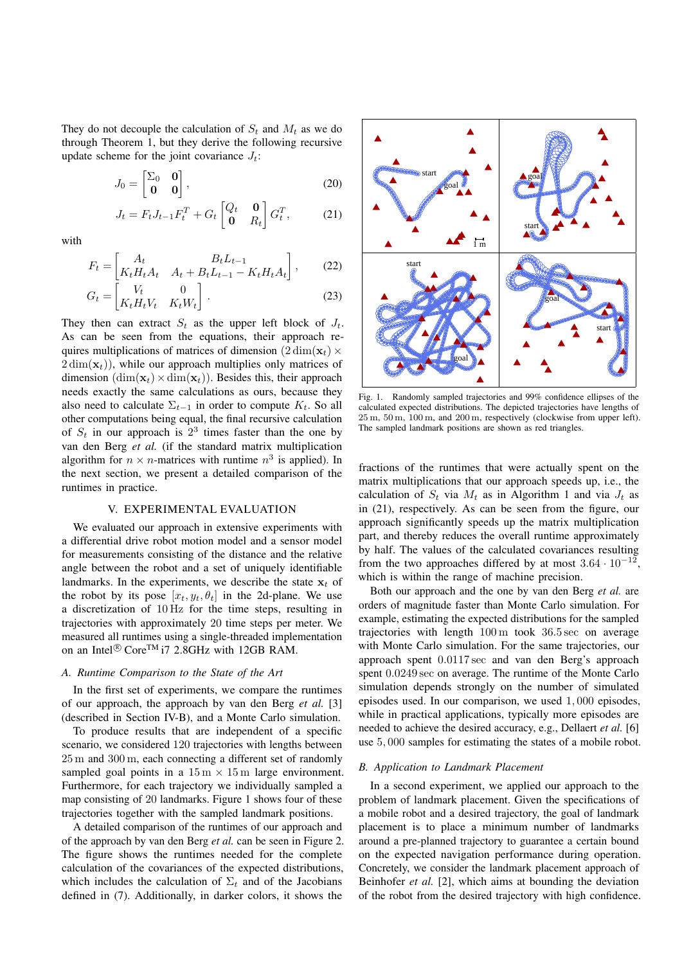They do not decouple the calculation of  $S_t$  and  $M_t$  as we do through Theorem [1,](#page-2-0) but they derive the following recursive update scheme for the joint covariance  $J_t$ :  $\frac{1}{2}$ 

$$
J_0 = \begin{bmatrix} \Sigma_0 & \mathbf{0} \\ \mathbf{0} & \mathbf{0} \end{bmatrix},\tag{20}
$$

$$
J_t = F_t J_{t-1} F_t^T + G_t \begin{bmatrix} Q_t & \mathbf{0} \\ \mathbf{0} & R_t \end{bmatrix} G_t^T, \tag{21}
$$

with

$$
F_t = \begin{bmatrix} A_t & B_t L_{t-1} \\ K_t H_t A_t & A_t + B_t L_{t-1} - K_t H_t A_t \end{bmatrix},
$$
(22)  

$$
G_t = \begin{bmatrix} V_t & 0 \\ K_t H_t V_t & K_t W_t \end{bmatrix}.
$$
(23)  
then can extract  $S_t$  as the upper left block of  $J_t$   
an be seen from the equations, their approach re-

$$
G_t = \begin{bmatrix} V_t & 0 \\ K_t H_t V_t & K_t W_t \end{bmatrix} . \tag{23}
$$

They then can extract  $S_t$  as the upper left block of  $J_t$ . As can be seen from the equations, their approach requires multiplications of matrices of dimension  $(2 \dim(\mathbf{x}_t) \times$  $2 \dim(\mathbf{x}_t)$ , while our approach multiplies only matrices of dimension  $(\dim(\mathbf{x}_t) \times \dim(\mathbf{x}_t))$ . Besides this, their approach needs exactly the same calculations as ours, because they also need to calculate  $\Sigma_{t-1}$  in order to compute  $K_t$ . So all other computations being equal, the final recursive calculation of  $S_t$  in our approach is  $2<sup>3</sup>$  times faster than the one by van den Berg *et al.* (if the standard matrix multiplication algorithm for  $n \times n$ -matrices with runtime  $n^3$  is applied). In the next section, we present a detailed comparison of the runtimes in practice.  $>50$ 

# V. EXPERIMENTAL EVALUATION

We evaluated our approach in extensive experiments with a differential drive robot motion model and a sensor model for measurements consisting of the distance and the relative angle between the robot and a set of uniquely identifiable landmarks. In the experiments, we describe the state  $x_t$  of the robot by its pose  $[x_t, y_t, \theta_t]$  in the 2d-plane. We use a discretization of 10 Hz for the time steps, resulting in trajectories with approximately 20 time steps per meter. We measured all runtimes using a single-threaded implementation on an Intel<sup>®</sup> Core<sup>TM</sup> i7 2.8GHz with 12GB RAM.

### *A. Runtime Comparison to the State of the Art*

In the first set of experiments, we compare the runtimes of our approach, the approach by van den Berg *et al.* [3] (described in Section [IV-B\)](#page-2-4), and a Monte Carlo simulation.

To produce results that are independent of a specific scenario, we considered 120 trajectories with lengths between 25 m and 300 m, each connecting a different set of randomly sampled goal points in a  $15 \text{ m} \times 15 \text{ m}$  large environment. Furthermore, for each trajectory we individually sampled a map consisting of 20 landmarks. Figure [1](#page-3-0) shows four of these trajectories together with the sampled landmark positions.

A detailed comparison of the runtimes of our approach and of the approach by van den Berg *et al.* can be seen in Figure [2.](#page-4-0) The figure shows the runtimes needed for the complete calculation of the covariances of the expected distributions, which includes the calculation of  $\Sigma_t$  and of the Jacobians defined in [\(7\)](#page-1-4). Additionally, in darker colors, it shows the

<span id="page-3-1"></span>

<span id="page-3-0"></span>25 m, 50 m, 100 m, and 200 m, respectively (clockwise from upper left). Fig. 1. Randomly sampled trajectories and 99% confidence ellipses of the calculated expected distributions. The depicted trajectories have lengths of The sampled landmark positions are shown as red triangles.

fractions of the runtimes that were actually spent on the matrix multiplications that our approach speeds up, i.e., the calculation of  $S_t$  via  $M_t$  as in Algorithm [1](#page-2-3) and via  $J_t$  as in [\(21\)](#page-3-1), respectively. As can be seen from the figure, our approach significantly speeds up the matrix multiplication part, and thereby reduces the overall runtime approximately by half. The values of the calculated covariances resulting from the two approaches differed by at most  $3.64 \cdot 10^{-12}$ , which is within the range of machine precision.

Both our approach and the one by van den Berg *et al.* are orders of magnitude faster than Monte Carlo simulation. For example, estimating the expected distributions for the sampled trajectories with length 100 m took 36.5 sec on average with Monte Carlo simulation. For the same trajectories, our approach spent 0.0117 sec and van den Berg's approach spent 0.0249 sec on average. The runtime of the Monte Carlo simulation depends strongly on the number of simulated episodes used. In our comparison, we used 1, 000 episodes, while in practical applications, typically more episodes are needed to achieve the desired accuracy, e.g., Dellaert *et al.* [6] use 5, 000 samples for estimating the states of a mobile robot.

#### *B. Application to Landmark Placement*

In a second experiment, we applied our approach to the problem of landmark placement. Given the specifications of a mobile robot and a desired trajectory, the goal of landmark placement is to place a minimum number of landmarks around a pre-planned trajectory to guarantee a certain bound on the expected navigation performance during operation. Concretely, we consider the landmark placement approach of Beinhofer *et al.* [2], which aims at bounding the deviation of the robot from the desired trajectory with high confidence.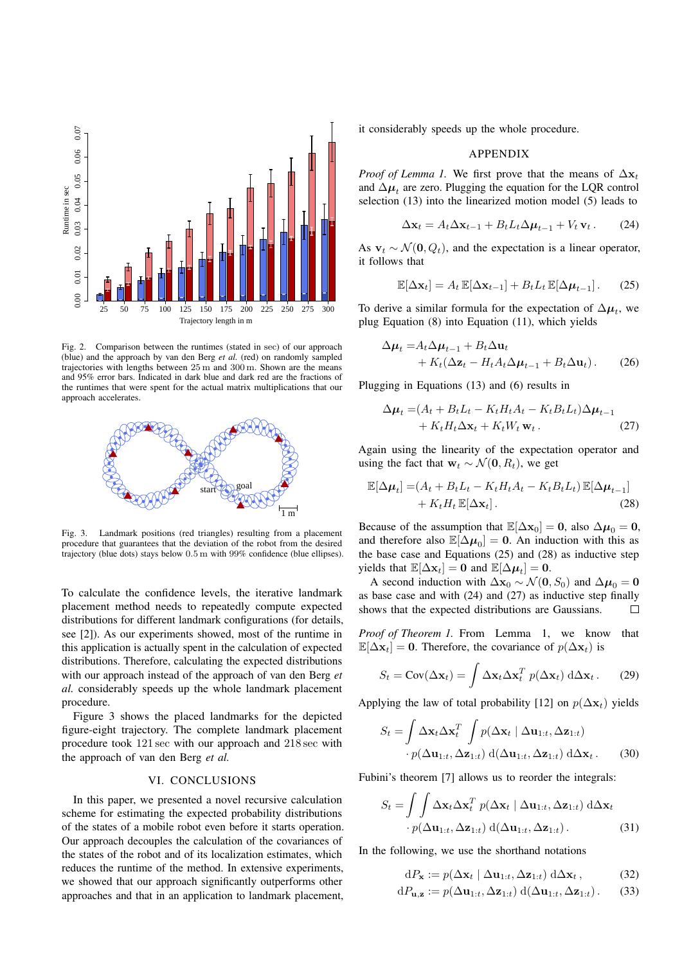

<span id="page-4-0"></span>Fig. 2. Comparison between the runtimes (stated in sec) of our approach (blue) and the approach by van den Berg *et al.* (red) on randomly sampled trajectories with lengths between 25 m and 300 m. Shown are the means and 95% error bars. Indicated in dark blue and dark red are the fractions of the runtimes that were spent for the actual matrix multiplications that our approach accelerates.



<span id="page-4-1"></span>Fig. 3. Landmark positions (red triangles) resulting from a placement procedure that guarantees that the deviation of the robot from the desired trajectory (blue dots) stays below 0.5 m with 99% confidence (blue ellipses).

placement method needs to repeatedly compute expected To calculate the confidence levels, the iterative landmark distributions for different landmark configurations (for details, see [2]). As our experiments showed, most of the runtime in this application is actually spent in the calculation of expected distributions. Therefore, calculating the expected distributions with our approach instead of the approach of van den Berg *et al.* considerably speeds up the whole landmark placement procedure.

Figure [3](#page-4-1) shows the placed landmarks for the depicted figure-eight trajectory. The complete landmark placement procedure took 121 sec with our approach and 218 sec with the approach of van den Berg *et al.*

# VI. CONCLUSIONS

In this paper, we presented a novel recursive calculation scheme for estimating the expected probability distributions of the states of a mobile robot even before it starts operation. Our approach decouples the calculation of the covariances of the states of the robot and of its localization estimates, which reduces the runtime of the method. In extensive experiments, we showed that our approach significantly outperforms other approaches and that in an application to landmark placement,

it considerably speeds up the whole procedure.

## <span id="page-4-4"></span><span id="page-4-2"></span>APPENDIX

*Proof of Lemma [1.](#page-2-1)* We first prove that the means of  $\Delta x_t$ and  $\Delta \mu_t$  are zero. Plugging the equation for the LQR control selection [\(13\)](#page-2-5) into the linearized motion model [\(5\)](#page-1-9) leads to

$$
\Delta \mathbf{x}_t = A_t \Delta \mathbf{x}_{t-1} + B_t L_t \Delta \boldsymbol{\mu}_{t-1} + V_t \mathbf{v}_t. \tag{24}
$$

As  $\mathbf{v}_t \sim \mathcal{N}(\mathbf{0}, Q_t)$ , and the expectation is a linear operator, it follows that

$$
\mathbb{E}[\Delta \mathbf{x}_t] = A_t \, \mathbb{E}[\Delta \mathbf{x}_{t-1}] + B_t L_t \, \mathbb{E}[\Delta \boldsymbol{\mu}_{t-1}]. \tag{25}
$$

To derive a similar formula for the expectation of  $\Delta \mu_t$ , we plug Equation [\(8\)](#page-1-10) into Equation [\(11\)](#page-1-11), which yields

$$
\Delta \mu_t = A_t \Delta \mu_{t-1} + B_t \Delta \mathbf{u}_t + K_t (\Delta \mathbf{z}_t - H_t A_t \Delta \mu_{t-1} + B_t \Delta \mathbf{u}_t).
$$
 (26)

Plugging in Equations [\(13\)](#page-2-5) and [\(6\)](#page-1-12) results in

<span id="page-4-5"></span><span id="page-4-3"></span>
$$
\Delta \mu_t = (A_t + B_t L_t - K_t H_t A_t - K_t B_t L_t) \Delta \mu_{t-1} + K_t H_t \Delta \mathbf{x}_t + K_t W_t \mathbf{w}_t.
$$
 (27)

Again using the linearity of the expectation operator and using the fact that  $w_t \sim \mathcal{N}(0, R_t)$ , we get

$$
\mathbb{E}[\Delta \mu_t] = (A_t + B_t L_t - K_t H_t A_t - K_t B_t L_t) \mathbb{E}[\Delta \mu_{t-1}] + K_t H_t \mathbb{E}[\Delta \mathbf{x}_t].
$$
\n(28)

Because of the assumption that  $\mathbb{E}[\Delta x_0] = 0$ , also  $\Delta \mu_0 = 0$ , and therefore also  $\mathbb{E}[\Delta \mu_0] = 0$ . An induction with this as the base case and Equations [\(25\)](#page-4-2) and [\(28\)](#page-4-3) as inductive step yields that  $\mathbb{E}[\Delta \mathbf{x}_t] = \mathbf{0}$  and  $\mathbb{E}[\Delta \boldsymbol{\mu}_t] = \mathbf{0}$ .

A second induction with  $\Delta x_0 \sim \mathcal{N}(0, S_0)$  and  $\Delta \mu_0 = 0$ as base case and with [\(24\)](#page-4-4) and [\(27\)](#page-4-5) as inductive step finally shows that the expected distributions are Gaussians.  $\Box$ 

*Proof of Theorem [1.](#page-2-0)* From Lemma [1,](#page-2-1) we know that  $\mathbb{E}[\Delta \mathbf{x}_t] = \mathbf{0}$ . Therefore, the covariance of  $p(\Delta \mathbf{x}_t)$  is

$$
S_t = \text{Cov}(\Delta \mathbf{x}_t) = \int \Delta \mathbf{x}_t \Delta \mathbf{x}_t^T \ p(\Delta \mathbf{x}_t) \ d\Delta \mathbf{x}_t. \tag{29}
$$

Applying the law of total probability [12] on  $p(\Delta x_t)$  yields

$$
S_t = \int \Delta \mathbf{x}_t \Delta \mathbf{x}_t^T \int p(\Delta \mathbf{x}_t | \Delta \mathbf{u}_{1:t}, \Delta \mathbf{z}_{1:t})
$$

$$
\cdot p(\Delta \mathbf{u}_{1:t}, \Delta \mathbf{z}_{1:t}) d(\Delta \mathbf{u}_{1:t}, \Delta \mathbf{z}_{1:t}) d\Delta \mathbf{x}_t.
$$
(30)

Fubini's theorem [7] allows us to reorder the integrals:

$$
S_t = \int \int \Delta \mathbf{x}_t \Delta \mathbf{x}_t^T \ p(\Delta \mathbf{x}_t \mid \Delta \mathbf{u}_{1:t}, \Delta \mathbf{z}_{1:t}) \ d\Delta \mathbf{x}_t
$$

$$
\cdot \ p(\Delta \mathbf{u}_{1:t}, \Delta \mathbf{z}_{1:t}) \ d(\Delta \mathbf{u}_{1:t}, \Delta \mathbf{z}_{1:t}). \tag{31}
$$

In the following, we use the shorthand notations

<span id="page-4-6"></span>
$$
dP_{\mathbf{x}} := p(\Delta \mathbf{x}_t \mid \Delta \mathbf{u}_{1:t}, \Delta \mathbf{z}_{1:t}) d\Delta \mathbf{x}_t, \tag{32}
$$

$$
dP_{\mathbf{u},\mathbf{z}} := p(\Delta \mathbf{u}_{1:t}, \Delta \mathbf{z}_{1:t}) d(\Delta \mathbf{u}_{1:t}, \Delta \mathbf{z}_{1:t}).
$$
 (33)